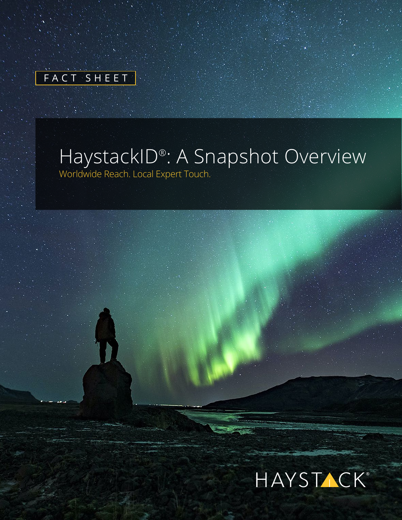|  | FACT SHEET |  |  |  |
|--|------------|--|--|--|
|  |            |  |  |  |

# HaystackID® : A Snapshot Overview

Worldwide Reach. Local Expert Touch.

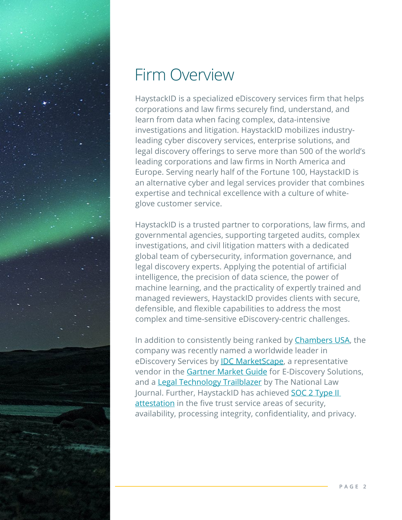

# Firm Overview

HaystackID is a specialized eDiscovery services firm that helps corporations and law firms securely find, understand, and learn from data when facing complex, data-intensive investigations and litigation. HaystackID mobilizes industryleading cyber discovery services, enterprise solutions, and legal discovery offerings to serve more than 500 of the world's leading corporations and law firms in North America and Europe. Serving nearly half of the Fortune 100, HaystackID is an alternative cyber and legal services provider that combines expertise and technical excellence with a culture of whiteglove customer service.

HaystackID is a trusted partner to corporations, law firms, and governmental agencies, supporting targeted audits, complex investigations, and civil litigation matters with a dedicated global team of cybersecurity, information governance, and legal discovery experts. Applying the potential of artificial intelligence, the precision of data science, the power of machine learning, and the practicality of expertly trained and managed reviewers, HaystackID provides clients with secure, defensible, and flexible capabilities to address the most complex and time-sensitive eDiscovery-centric challenges.

In addition to consistently being ranked by [Chambers USA,](https://haystackid.com/chambers-usa-recognizes-haystackid-for-ediscovery-litigation-support-expertise/) the company was recently named a worldwide leader in eDiscovery Services by **[IDC MarketScape](https://haystackid.com/haystackid-named-a-worldwide-leader-in-ediscovery-services-by-idc-marketscape/)**, a representative vendor in the [Gartner Market Guide](https://haystackid.com/haystackid-named-a-representative-vendor-in-the-2021-gartner-market-guide-for-e-discovery-solutions/) for E-Discovery Solutions, and a [Legal Technology Trailblazer](https://haystackid.com/reviewright-protect-by-haystackid-named-to-the-national-law-journals-2022-legal-technology-trailblazers-list/) by The National Law Journal. Further, HaystackID has achieved **SOC 2 Type II** [attestation](https://haystackid.com/haystackid-earns-soc-2-type-ii-attestation-in-all-five-trust-service-areas/) in the five trust service areas of security, availability, processing integrity, confidentiality, and privacy.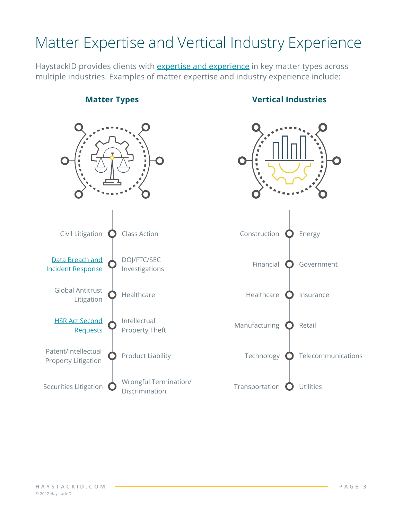# Matter Expertise and Vertical Industry Experience

HaystackID provides clients with **expertise and experience** in key matter types across multiple industries. Examples of matter expertise and industry experience include:

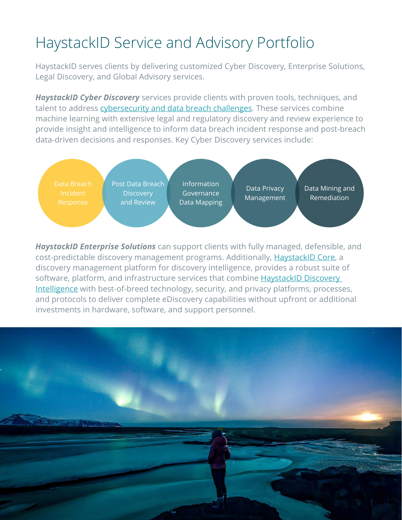# HaystackID Service and Advisory Portfolio

HaystackID serves clients by delivering customized Cyber Discovery, Enterprise Solutions, Legal Discovery, and Global Advisory services.

*HaystackID Cyber Discovery* services provide clients with proven tools, techniques, and talent to address [cybersecurity and data breach challenges.](https://haystackid.com/backgrounder-data-breach-incident-response-services/) These services combine machine learning with extensive legal and regulatory discovery and review experience to provide insight and intelligence to inform data breach incident response and post-breach data-driven decisions and responses. Key Cyber Discovery services include:



*HaystackID Enterprise Solutions* can support clients with fully managed, defensible, and cost-predictable discovery management programs. Additionally, [HaystackID Core](https://haystackid.com/haystackid-core/), a discovery management platform for discovery intelligence, provides a robust suite of software, platform, and infrastructure services that combine HaystackID Discovery [Intelligence](https://haystackid.com/discovery-intelligence/) with best-of-breed technology, security, and privacy platforms, processes, and protocols to deliver complete eDiscovery capabilities without upfront or additional investments in hardware, software, and support personnel.

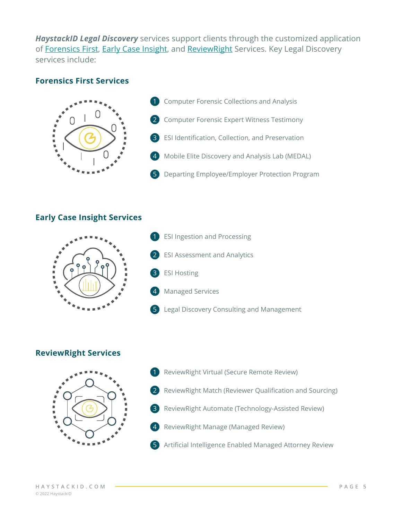*HaystackID Legal Discovery* services support clients through the customized application of [Forensics First](https://haystackid.com/forensics-first/), [Early Case Insight,](https://haystackid.com/early-case-insight/) and [ReviewRight Services](https://haystackid.com/review-right/). Key Legal Discovery services include:

#### **[Forensics First Services](https://haystackid.com/forensics-first/)**



- **1** Computer Forensic Collections and Analysis
- 2 Computer Forensic Expert Witness Testimony
- 3 ESI Identification, Collection, and Preservation
- 4 Mobile Elite Discovery and Analysis Lab (MEDAL)
- 5 Departing Employee/Employer Protection Program

#### **[Early Case Insight Services](https://haystackid.com/early-case-insight/)**



- 1 ESI Ingestion and Processing **ESI Assessment and Analytics**
- 3 ESI Hosting
	- **Managed Services**
- 5 Legal Discovery Consulting and Management

#### **[ReviewRight Services](https://haystackid.com/review-right/)**



- 1 ReviewRight Virtual (Secure Remote Review)
- 2 ReviewRight Match (Reviewer Qualification and Sourcing)
- 3 ReviewRight Automate (Technology-Assisted Review)
- 4 ReviewRight Manage (Managed Review)
- 5 Artificial Intelligence Enabled Managed Attorney Review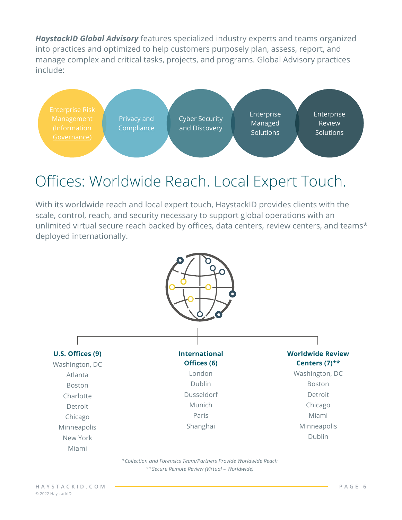*HaystackID Global Advisory* features specialized industry experts and teams organized into practices and optimized to help customers purposely plan, assess, report, and manage complex and critical tasks, projects, and programs. Global Advisory practices include:



### Offices: Worldwide Reach. Local Expert Touch.

With its worldwide reach and local expert touch, HaystackID provides clients with the scale, control, reach, and security necessary to support global operations with an unlimited virtual secure reach backed by offices, data centers, review centers, and teams\* deployed internationally.



*\*Collection and Forensics Team/Partners Provide Worldwide Reach \*\*Secure Remote Review (Virtual – Worldwide)*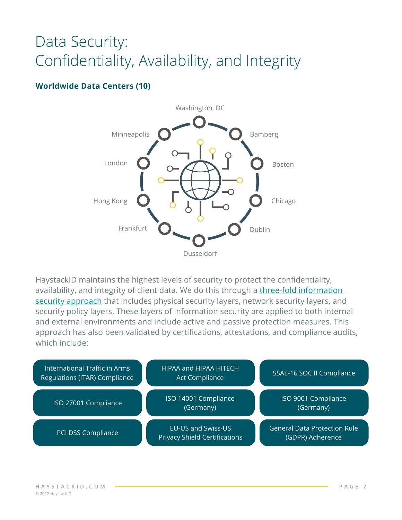### Data Security: Confidentiality, Availability, and Integrity

#### **Worldwide Data Centers (10)**



HaystackID maintains the highest levels of security to protect the confidentiality, availability, and integrity of client data. We do this through a three-fold information [security approach](https://haystackid.com/backgrounder-security/) that includes physical security layers, network security layers, and security policy layers. These layers of information security are applied to both internal and external environments and include active and passive protection measures. This approach has also been validated by certifications, attestations, and compliance audits, which include: